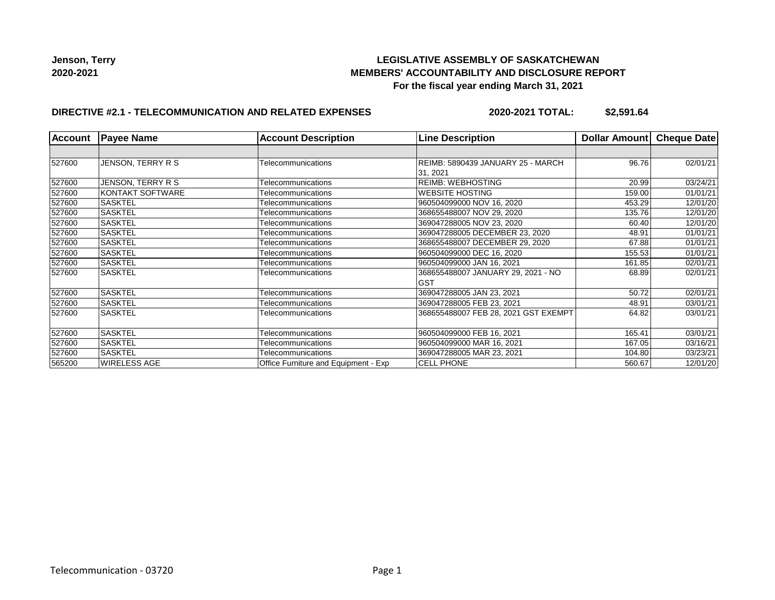# **LEGISLATIVE ASSEMBLY OF SASKATCHEWAN MEMBERS' ACCOUNTABILITY AND DISCLOSURE REPORT For the fiscal year ending March 31, 2021**

# **DIRECTIVE #2.1 - TELECOMMUNICATION AND RELATED EXPENSES**

**2020-2021 TOTAL: \$2,591.64**

| <b>Account</b> | <b>Payee Name</b> | <b>Account Description</b>           | <b>Line Description</b>                          | Dollar Amount | <b>Cheque Date</b> |
|----------------|-------------------|--------------------------------------|--------------------------------------------------|---------------|--------------------|
|                |                   |                                      |                                                  |               |                    |
| 527600         | JENSON, TERRY R S | Telecommunications                   | REIMB: 5890439 JANUARY 25 - MARCH<br>31, 2021    | 96.76         | 02/01/21           |
| 527600         | JENSON, TERRY R S | Telecommunications                   | <b>REIMB: WEBHOSTING</b>                         | 20.99         | 03/24/21           |
| 527600         | KONTAKT SOFTWARE  | Telecommunications                   | <b>WEBSITE HOSTING</b>                           | 159.00        | 01/01/21           |
| 527600         | <b>SASKTEL</b>    | Telecommunications                   | 960504099000 NOV 16, 2020                        | 453.29        | 12/01/20           |
| 527600         | <b>SASKTEL</b>    | Telecommunications                   | 368655488007 NOV 29, 2020                        | 135.76        | 12/01/20           |
| 527600         | <b>SASKTEL</b>    | Telecommunications                   | 369047288005 NOV 23, 2020                        | 60.40         | 12/01/20           |
| 527600         | <b>SASKTEL</b>    | Telecommunications                   | 369047288005 DECEMBER 23, 2020                   | 48.91         | 01/01/21           |
| 527600         | <b>SASKTEL</b>    | Telecommunications                   | 368655488007 DECEMBER 29, 2020                   | 67.88         | 01/01/21           |
| 527600         | <b>SASKTEL</b>    | Telecommunications                   | 960504099000 DEC 16, 2020                        | 155.53        | 01/01/21           |
| 527600         | <b>SASKTEL</b>    | Telecommunications                   | 960504099000 JAN 16, 2021                        | 161.85        | 02/01/21           |
| 527600         | <b>SASKTEL</b>    | Telecommunications                   | 368655488007 JANUARY 29, 2021 - NO<br><b>GST</b> | 68.89         | 02/01/21           |
| 527600         | <b>SASKTEL</b>    | Telecommunications                   | 369047288005 JAN 23, 2021                        | 50.72         | 02/01/21           |
| 527600         | <b>SASKTEL</b>    | Telecommunications                   | 369047288005 FEB 23, 2021                        | 48.91         | 03/01/21           |
| 527600         | <b>SASKTEL</b>    | Telecommunications                   | 368655488007 FEB 28, 2021 GST EXEMPT             | 64.82         | 03/01/21           |
| 527600         | <b>SASKTEL</b>    | Telecommunications                   | 960504099000 FEB 16, 2021                        | 165.41        | 03/01/21           |
| 527600         | <b>SASKTEL</b>    | Telecommunications                   | 960504099000 MAR 16, 2021                        | 167.05        | 03/16/21           |
| 527600         | <b>SASKTEL</b>    | Telecommunications                   | 369047288005 MAR 23, 2021                        | 104.80        | 03/23/21           |
| 565200         | WIRELESS AGE      | Office Furniture and Equipment - Exp | <b>CELL PHONE</b>                                | 560.67        | 12/01/20           |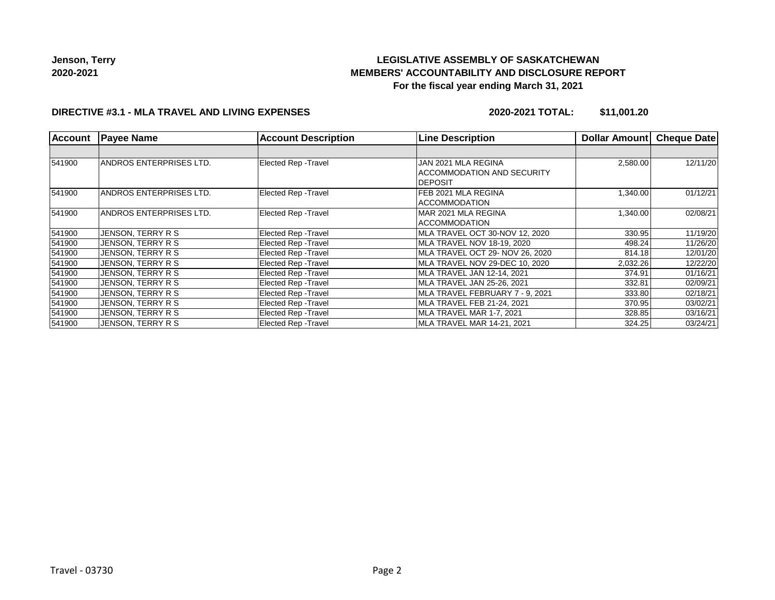# **LEGISLATIVE ASSEMBLY OF SASKATCHEWAN MEMBERS' ACCOUNTABILITY AND DISCLOSURE REPORT For the fiscal year ending March 31, 2021**

### **DIRECTIVE #3.1 - MLA TRAVEL AND LIVING EXPENSES**

**2020-2021 TOTAL: \$11,001.20**

| <b>Account</b> | <b>Payee Name</b>              | <b>Account Description</b>  | <b>Line Description</b>                                                    | Dollar Amount | <b>Cheque Date</b> |
|----------------|--------------------------------|-----------------------------|----------------------------------------------------------------------------|---------------|--------------------|
|                |                                |                             |                                                                            |               |                    |
| 541900         | <b>ANDROS ENTERPRISES LTD.</b> | <b>Elected Rep - Travel</b> | JAN 2021 MLA REGINA<br><b>ACCOMMODATION AND SECURITY</b><br><b>DEPOSIT</b> | 2,580.00      | 12/11/20           |
| 541900         | ANDROS ENTERPRISES LTD.        | Elected Rep - Travel        | FEB 2021 MLA REGINA<br>ACCOMMODATION                                       | 1,340.00      | 01/12/21           |
| 541900         | <b>ANDROS ENTERPRISES LTD.</b> | <b>Elected Rep - Travel</b> | IMAR 2021 MLA REGINA<br><b>ACCOMMODATION</b>                               | 1,340.00      | 02/08/21           |
| 541900         | JENSON, TERRY R S              | <b>Elected Rep - Travel</b> | MLA TRAVEL OCT 30-NOV 12, 2020                                             | 330.95        | 11/19/20           |
| 541900         | JENSON, TERRY R S              | Elected Rep - Travel        | MLA TRAVEL NOV 18-19, 2020                                                 | 498.24        | 11/26/20           |
| 541900         | JENSON, TERRY R S              | <b>Elected Rep - Travel</b> | MLA TRAVEL OCT 29- NOV 26, 2020                                            | 814.18        | 12/01/20           |
| 541900         | JENSON, TERRY R S              | Elected Rep - Travel        | MLA TRAVEL NOV 29-DEC 10, 2020                                             | 2,032.26      | 12/22/20           |
| 541900         | JENSON, TERRY R S              | Elected Rep - Travel        | MLA TRAVEL JAN 12-14, 2021                                                 | 374.91        | 01/16/21           |
| 541900         | JENSON, TERRY R S              | <b>Elected Rep - Travel</b> | MLA TRAVEL JAN 25-26, 2021                                                 | 332.81        | 02/09/21           |
| 541900         | JENSON, TERRY R S              | Elected Rep - Travel        | MLA TRAVEL FEBRUARY 7 - 9, 2021                                            | 333.80        | 02/18/21           |
| 541900         | JENSON, TERRY R S              | Elected Rep - Travel        | MLA TRAVEL FEB 21-24, 2021                                                 | 370.95        | 03/02/21           |
| 541900         | JENSON, TERRY R S              | Elected Rep - Travel        | MLA TRAVEL MAR 1-7, 2021                                                   | 328.85        | 03/16/21           |
| 541900         | JENSON, TERRY R S              | Elected Rep - Travel        | MLA TRAVEL MAR 14-21, 2021                                                 | 324.25        | 03/24/21           |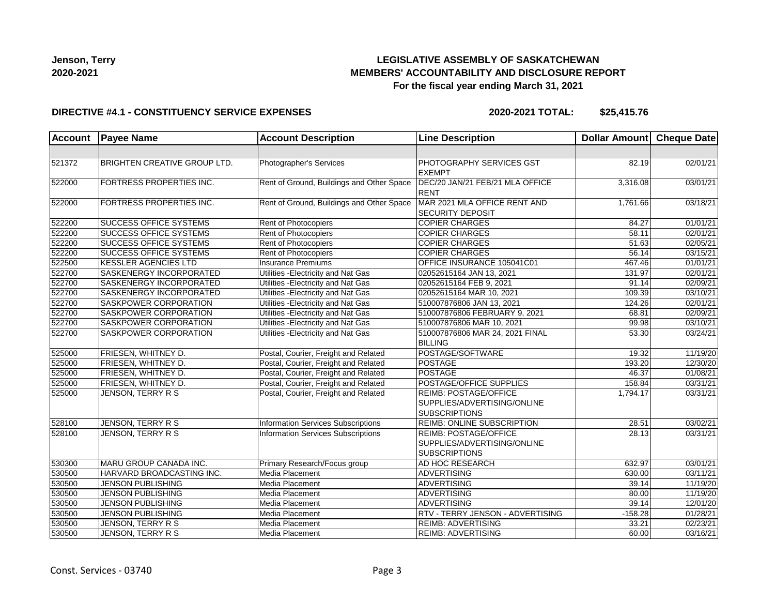# **LEGISLATIVE ASSEMBLY OF SASKATCHEWAN MEMBERS' ACCOUNTABILITY AND DISCLOSURE REPORT For the fiscal year ending March 31, 2021**

### **DIRECTIVE #4.1 - CONSTITUENCY SERVICE EXPENSES**

**2020-2021 TOTAL: \$25,415.76**

| <b>Account</b> | <b>Payee Name</b>                   | <b>Account Description</b>                | <b>Line Description</b>                                 | Dollar Amount Cheque Date |                       |
|----------------|-------------------------------------|-------------------------------------------|---------------------------------------------------------|---------------------------|-----------------------|
|                |                                     |                                           |                                                         |                           |                       |
| 521372         | <b>BRIGHTEN CREATIVE GROUP LTD.</b> | Photographer's Services                   | PHOTOGRAPHY SERVICES GST<br><b>EXEMPT</b>               | 82.19                     | 02/01/21              |
| 522000         | FORTRESS PROPERTIES INC.            | Rent of Ground, Buildings and Other Space | DEC/20 JAN/21 FEB/21 MLA OFFICE<br><b>RENT</b>          | 3,316.08                  | 03/01/21              |
| 522000         | FORTRESS PROPERTIES INC.            | Rent of Ground, Buildings and Other Space | MAR 2021 MLA OFFICE RENT AND<br><b>SECURITY DEPOSIT</b> | 1,761.66                  | 03/18/21              |
| 522200         | <b>SUCCESS OFFICE SYSTEMS</b>       | Rent of Photocopiers                      | <b>COPIER CHARGES</b>                                   | 84.27                     | 01/01/21              |
| 522200         | <b>SUCCESS OFFICE SYSTEMS</b>       | Rent of Photocopiers                      | <b>COPIER CHARGES</b>                                   | 58.11                     | 02/01/21              |
| 522200         | <b>SUCCESS OFFICE SYSTEMS</b>       | Rent of Photocopiers                      | <b>COPIER CHARGES</b>                                   | 51.63                     | 02/05/21              |
| 522200         | <b>SUCCESS OFFICE SYSTEMS</b>       | Rent of Photocopiers                      | <b>COPIER CHARGES</b>                                   | 56.14                     | 03/15/21              |
| 522500         | <b>KESSLER AGENCIES LTD</b>         | <b>Insurance Premiums</b>                 | OFFICE INSURANCE 105041C01                              | 467.46                    | 01/01/21              |
| 522700         | SASKENERGY INCORPORATED             | Utilities - Electricity and Nat Gas       | 02052615164 JAN 13, 2021                                | 131.97                    | 02/01/21              |
| 522700         | <b>SASKENERGY INCORPORATED</b>      | Utilities - Electricity and Nat Gas       | 02052615164 FEB 9, 2021                                 | 91.14                     | 02/09/21              |
| 522700         | SASKENERGY INCORPORATED             | Utilities - Electricity and Nat Gas       | 02052615164 MAR 10, 2021                                | 109.39                    | 03/10/21              |
| 522700         | <b>SASKPOWER CORPORATION</b>        | Utilities - Electricity and Nat Gas       | 510007876806 JAN 13, 2021                               | 124.26                    | 02/01/21              |
| 522700         | <b>SASKPOWER CORPORATION</b>        | Utilities - Electricity and Nat Gas       | 510007876806 FEBRUARY 9, 2021                           | 68.81                     | 02/09/21              |
| 522700         | SASKPOWER CORPORATION               | Utilities - Electricity and Nat Gas       | 510007876806 MAR 10, 2021                               | 99.98                     | 03/10/21              |
| 522700         | SASKPOWER CORPORATION               | Utilities - Electricity and Nat Gas       | 510007876806 MAR 24, 2021 FINAL                         | 53.30                     | 03/24/21              |
|                |                                     |                                           | <b>BILLING</b>                                          |                           |                       |
| 525000         | FRIESEN, WHITNEY D.                 | Postal, Courier, Freight and Related      | POSTAGE/SOFTWARE                                        | 19.32                     | 11/19/20              |
| 525000         | FRIESEN, WHITNEY D.                 | Postal, Courier, Freight and Related      | POSTAGE                                                 | 193.20                    | 12/30/20              |
| 525000         | FRIESEN, WHITNEY D.                 | Postal, Courier, Freight and Related      | POSTAGE                                                 | 46.37                     | 01/08/21              |
| 525000         | FRIESEN, WHITNEY D.                 | Postal, Courier, Freight and Related      | POSTAGE/OFFICE SUPPLIES                                 | 158.84                    | 03/31/21              |
| 525000         | JENSON, TERRY R S                   | Postal, Courier, Freight and Related      | <b>REIMB: POSTAGE/OFFICE</b>                            | 1,794.17                  | 03/31/21              |
|                |                                     |                                           | SUPPLIES/ADVERTISING/ONLINE                             |                           |                       |
|                |                                     |                                           | <b>SUBSCRIPTIONS</b>                                    |                           |                       |
| 528100         | <b>JENSON, TERRY R S</b>            | <b>Information Services Subscriptions</b> | <b>REIMB: ONLINE SUBSCRIPTION</b>                       | 28.51                     | 03/02/21              |
| 528100         | JENSON, TERRY R S                   | Information Services Subscriptions        | <b>REIMB: POSTAGE/OFFICE</b>                            | 28.13                     | 03/31/21              |
|                |                                     |                                           | SUPPLIES/ADVERTISING/ONLINE                             |                           |                       |
|                |                                     |                                           | <b>SUBSCRIPTIONS</b>                                    |                           |                       |
| 530300         | MARU GROUP CANADA INC.              | Primary Research/Focus group              | <b>AD HOC RESEARCH</b>                                  | 632.97                    | $\overline{03/0}1/21$ |
| 530500         | HARVARD BROADCASTING INC.           | Media Placement                           | <b>ADVERTISING</b>                                      | 630.00                    | 03/11/21              |
| 530500         | <b>JENSON PUBLISHING</b>            | <b>Media Placement</b>                    | ADVERTISING                                             | 39.14                     | 11/19/20              |
| 530500         | <b>JENSON PUBLISHING</b>            | Media Placement                           | ADVERTISING                                             | 80.00                     | 11/19/20              |
| 530500         | <b>JENSON PUBLISHING</b>            | Media Placement                           | <b>ADVERTISING</b>                                      | 39.14                     | 12/01/20              |
| 530500         | <b>JENSON PUBLISHING</b>            | Media Placement                           | <b>RTV - TERRY JENSON - ADVERTISING</b>                 | $-158.28$                 | 01/28/21              |
| 530500         | JENSON, TERRY R S                   | Media Placement                           | <b>REIMB: ADVERTISING</b>                               | 33.21                     | 02/23/21              |
| 530500         | JENSON, TERRY R S                   | <b>Media Placement</b>                    | <b>REIMB: ADVERTISING</b>                               | 60.00                     | 03/16/21              |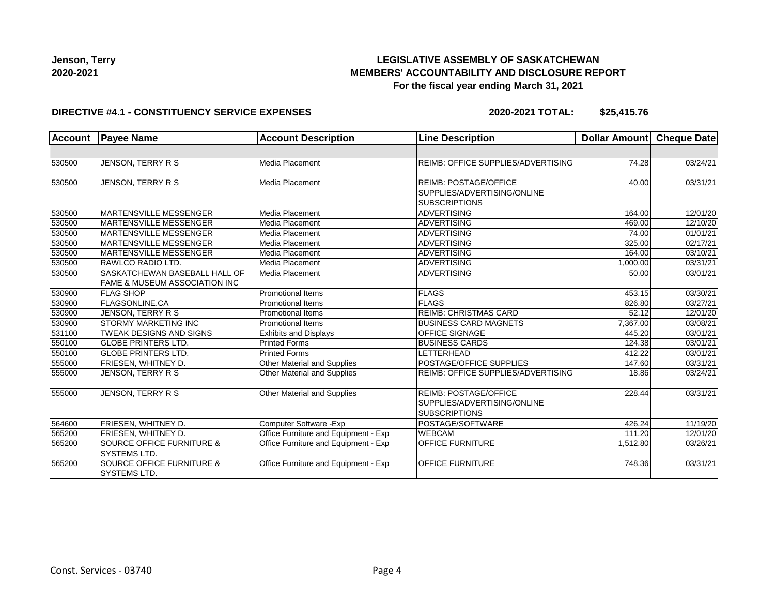# **LEGISLATIVE ASSEMBLY OF SASKATCHEWAN MEMBERS' ACCOUNTABILITY AND DISCLOSURE REPORT For the fiscal year ending March 31, 2021**

#### **DIRECTIVE #4.1 - CONSTITUENCY SERVICE EXPENSES**

**2020-2021 TOTAL: \$25,415.76**

| <b>Account</b> | <b>Payee Name</b>                                                         | <b>Account Description</b>           | <b>Line Description</b>                                                             | Dollar Amount | <b>Cheque Date</b> |
|----------------|---------------------------------------------------------------------------|--------------------------------------|-------------------------------------------------------------------------------------|---------------|--------------------|
|                |                                                                           |                                      |                                                                                     |               |                    |
| 530500         | JENSON, TERRY R S                                                         | Media Placement                      | REIMB: OFFICE SUPPLIES/ADVERTISING                                                  | 74.28         | 03/24/21           |
| 530500         | JENSON, TERRY R S                                                         | Media Placement                      | <b>REIMB: POSTAGE/OFFICE</b><br>SUPPLIES/ADVERTISING/ONLINE<br><b>SUBSCRIPTIONS</b> | 40.00         | 03/31/21           |
| 530500         | <b>MARTENSVILLE MESSENGER</b>                                             | Media Placement                      | <b>ADVERTISING</b>                                                                  | 164.00        | 12/01/20           |
| 530500         | <b>MARTENSVILLE MESSENGER</b>                                             | Media Placement                      | <b>ADVERTISING</b>                                                                  | 469.00        | 12/10/20           |
| 530500         | MARTENSVILLE MESSENGER                                                    | Media Placement                      | <b>ADVERTISING</b>                                                                  | 74.00         | 01/01/21           |
| 530500         | MARTENSVILLE MESSENGER                                                    | Media Placement                      | <b>ADVERTISING</b>                                                                  | 325.00        | 02/17/21           |
| 530500         | <b>MARTENSVILLE MESSENGER</b>                                             | Media Placement                      | <b>ADVERTISING</b>                                                                  | 164.00        | 03/10/21           |
| 530500         | RAWLCO RADIO LTD.                                                         | Media Placement                      | <b>ADVERTISING</b>                                                                  | 1,000.00      | 03/31/21           |
| 530500         | SASKATCHEWAN BASEBALL HALL OF<br><b>FAME &amp; MUSEUM ASSOCIATION INC</b> | Media Placement                      | <b>ADVERTISING</b>                                                                  | 50.00         | 03/01/21           |
| 530900         | <b>FLAG SHOP</b>                                                          | <b>Promotional Items</b>             | FLAGS                                                                               | 453.15        | 03/30/21           |
| 530900         | <b>FLAGSONLINE.CA</b>                                                     | <b>Promotional Items</b>             | FLAGS                                                                               | 826.80        | 03/27/21           |
| 530900         | JENSON, TERRY R S                                                         | <b>Promotional Items</b>             | <b>REIMB: CHRISTMAS CARD</b>                                                        | 52.12         | 12/01/20           |
| 530900         | <b>STORMY MARKETING INC</b>                                               | <b>Promotional Items</b>             | <b>BUSINESS CARD MAGNETS</b>                                                        | 7,367.00      | 03/08/21           |
| 531100         | <b>TWEAK DESIGNS AND SIGNS</b>                                            | <b>Exhibits and Displays</b>         | <b>OFFICE SIGNAGE</b>                                                               | 445.20        | 03/01/21           |
| 550100         | <b>GLOBE PRINTERS LTD.</b>                                                | <b>Printed Forms</b>                 | <b>BUSINESS CARDS</b>                                                               | 124.38        | 03/01/21           |
| 550100         | <b>GLOBE PRINTERS LTD.</b>                                                | <b>Printed Forms</b>                 | LETTERHEAD                                                                          | 412.22        | 03/01/21           |
| 555000         | <b>FRIESEN, WHITNEY D.</b>                                                | Other Material and Supplies          | POSTAGE/OFFICE SUPPLIES                                                             | 147.60        | 03/31/21           |
| 555000         | JENSON, TERRY R S                                                         | Other Material and Supplies          | REIMB: OFFICE SUPPLIES/ADVERTISING                                                  | 18.86         | 03/24/21           |
| 555000         | JENSON, TERRY R S                                                         | Other Material and Supplies          | <b>REIMB: POSTAGE/OFFICE</b><br>SUPPLIES/ADVERTISING/ONLINE<br><b>SUBSCRIPTIONS</b> | 228.44        | 03/31/21           |
| 564600         | <b>FRIESEN, WHITNEY D.</b>                                                | Computer Software - Exp              | POSTAGE/SOFTWARE                                                                    | 426.24        | 11/19/20           |
| 565200         | <b>FRIESEN, WHITNEY D.</b>                                                | Office Furniture and Equipment - Exp | <b>WEBCAM</b>                                                                       | 111.20        | 12/01/20           |
| 565200         | <b>SOURCE OFFICE FURNITURE &amp;</b><br><b>SYSTEMS LTD.</b>               | Office Furniture and Equipment - Exp | <b>OFFICE FURNITURE</b>                                                             | 1,512.80      | 03/26/21           |
| 565200         | <b>SOURCE OFFICE FURNITURE &amp;</b><br><b>SYSTEMS LTD.</b>               | Office Furniture and Equipment - Exp | <b>OFFICE FURNITURE</b>                                                             | 748.36        | 03/31/21           |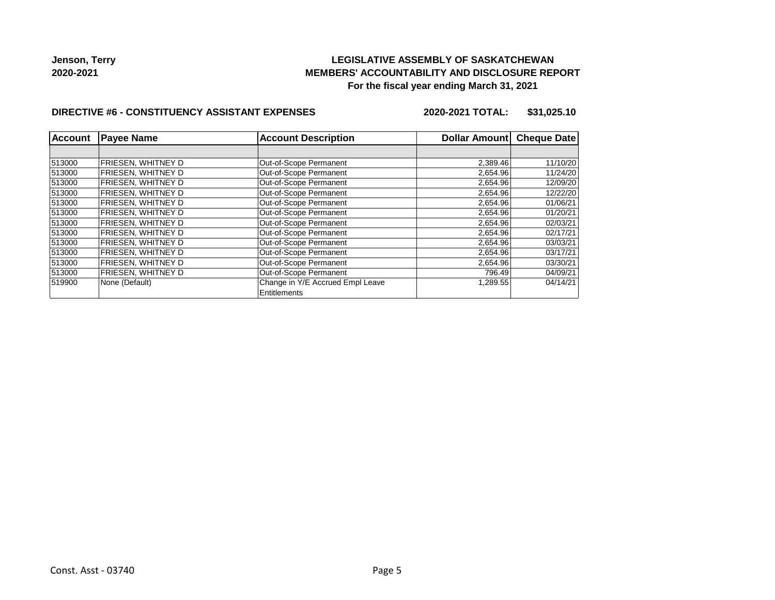# **LEGISLATIVE ASSEMBLY OF SASKATCHEWAN MEMBERS' ACCOUNTABILITY AND DISCLOSURE REPORT For the fiscal year ending March 31, 2021**

### **DIRECTIVE #6 - CONSTITUENCY ASSISTANT EXPENSES**

**2020-2021 TOTAL: \$31,025.10**

| <b>Account</b> | <b>Payee Name</b>         | <b>Account Description</b>       | Dollar Amount | <b>Cheque Date</b> |
|----------------|---------------------------|----------------------------------|---------------|--------------------|
|                |                           |                                  |               |                    |
| 513000         | <b>FRIESEN, WHITNEY D</b> | Out-of-Scope Permanent           | 2,389.46      | 11/10/20           |
| 513000         | FRIESEN. WHITNEY D        | Out-of-Scope Permanent           | 2,654.96      | 11/24/20           |
| 513000         | FRIESEN, WHITNEY D        | Out-of-Scope Permanent           | 2,654.96      | 12/09/20           |
| 513000         | FRIESEN, WHITNEY D        | Out-of-Scope Permanent           | 2,654.96      | 12/22/20           |
| 513000         | FRIESEN, WHITNEY D        | Out-of-Scope Permanent           | 2,654.96      | 01/06/21           |
| 513000         | FRIESEN. WHITNEY D        | Out-of-Scope Permanent           | 2,654.96      | 01/20/21           |
| 513000         | FRIESEN. WHITNEY D        | Out-of-Scope Permanent           | 2,654.96      | 02/03/21           |
| 513000         | FRIESEN. WHITNEY D        | Out-of-Scope Permanent           | 2,654.96      | 02/17/21           |
| 513000         | <b>FRIESEN, WHITNEY D</b> | Out-of-Scope Permanent           | 2,654.96      | 03/03/21           |
| 513000         | FRIESEN. WHITNEY D        | Out-of-Scope Permanent           | 2,654.96      | 03/17/21           |
| 513000         | <b>FRIESEN, WHITNEY D</b> | Out-of-Scope Permanent           | 2,654.96      | 03/30/21           |
| 513000         | <b>FRIESEN, WHITNEY D</b> | Out-of-Scope Permanent           | 796.49        | 04/09/21           |
| 519900         | None (Default)            | Change in Y/E Accrued Empl Leave | 1,289.55      | 04/14/21           |
|                |                           | Entitlements                     |               |                    |